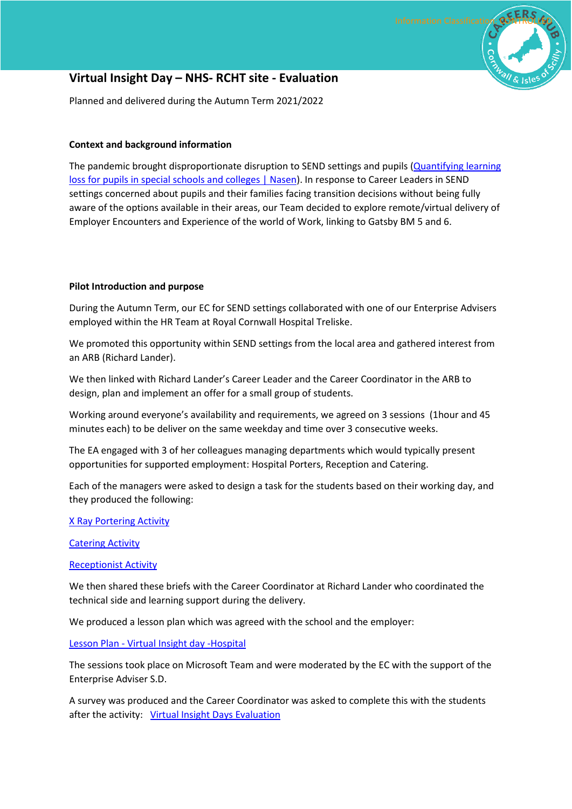# **Virtual Insight Day – NHS- RCHT site - Evaluation**

Planned and delivered during the Autumn Term 2021/2022

## **Context and background information**

The pandemic brought disproportionate disruption to SEND settings and pupils [\(Quantifying learning](https://nasen.org.uk/news/quantifying-learning-loss-pupils-special-schools-and-colleges)  [loss for pupils in special schools and colleges | Nasen\)](https://nasen.org.uk/news/quantifying-learning-loss-pupils-special-schools-and-colleges). In response to Career Leaders in SEND settings concerned about pupils and their families facing transition decisions without being fully aware of the options available in their areas, our Team decided to explore remote/virtual delivery of Employer Encounters and Experience of the world of Work, linking to Gatsby BM 5 and 6.

### **Pilot Introduction and purpose**

During the Autumn Term, our EC for SEND settings collaborated with one of our Enterprise Advisers employed within the HR Team at Royal Cornwall Hospital Treliske.

We promoted this opportunity within SEND settings from the local area and gathered interest from an ARB (Richard Lander).

We then linked with Richard Lander's Career Leader and the Career Coordinator in the ARB to design, plan and implement an offer for a small group of students.

Working around everyone's availability and requirements, we agreed on 3 sessions (1hour and 45 minutes each) to be deliver on the same weekday and time over 3 consecutive weeks.

The EA engaged with 3 of her colleagues managing departments which would typically present opportunities for supported employment: Hospital Porters, Reception and Catering.

Each of the managers were asked to design a task for the students based on their working day, and they produced the following:

#### X Ray Portering Activity

Catering Activity

#### Receptionist Activity

We then shared these briefs with the Career Coordinator at Richard Lander who coordinated the technical side and learning support during the delivery.

We produced a lesson plan which was agreed with the school and the employer:

#### Lesson Plan - Virtual Insight day -Hospital

The sessions took place on Microsoft Team and were moderated by the EC with the support of the Enterprise Adviser S.D.

A survey was produced and the Career Coordinator was asked to complete this with the students after the activity: Virtual Insight Days Evaluation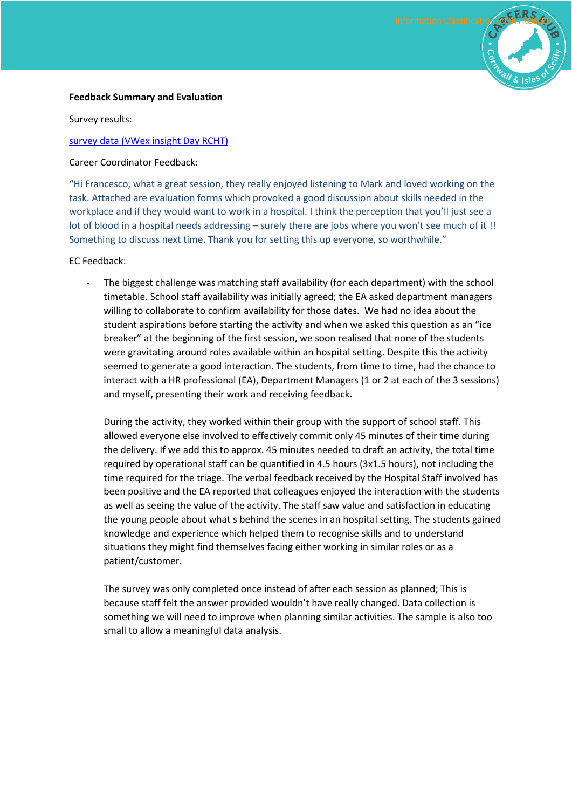

#### **Feedback Summary and Evaluation**

Survey results:

#### survey data (VWex insight Day RCHT)

Career Coordinator Feedback:

"Hi Francesco, what a great session, they really enjoyed listening to Mark and loved working on the task. Attached are evaluation forms which provoked a good discussion about skills needed in the workplace and if they would want to work in a hospital. I think the perception that you'll just see a lot of blood in a hospital needs addressing – surely there are jobs where you won't see much of it !! Something to discuss next time. Thank you for setting this up everyone, so worthwhile."

#### EC Feedback:

The biggest challenge was matching staff availability (for each department) with the school timetable. School staff availability was initially agreed; the EA asked department managers willing to collaborate to confirm availability for those dates. We had no idea about the student aspirations before starting the activity and when we asked this question as an "ice breaker" at the beginning of the first session, we soon realised that none of the students were gravitating around roles available within an hospital setting. Despite this the activity seemed to generate a good interaction. The students, from time to time, had the chance to interact with a HR professional (EA), Department Managers (1 or 2 at each of the 3 sessions) and myself, presenting their work and receiving feedback.

During the activity, they worked within their group with the support of school staff. This allowed everyone else involved to effectively commit only 45 minutes of their time during the delivery. If we add this to approx. 45 minutes needed to draft an activity, the total time required by operational staff can be quantified in 4.5 hours (3x1.5 hours), not including the time required for the triage. The verbal feedback received by the Hospital Staff involved has been positive and the EA reported that colleagues enjoyed the interaction with the students as well as seeing the value of the activity. The staff saw value and satisfaction in educating the young people about what s behind the scenes in an hospital setting. The students gained knowledge and experience which helped them to recognise skills and to understand situations they might find themselves facing either working in similar roles or as a patient/customer.

The survey was only completed once instead of after each session as planned; This is because staff felt the answer provided wouldn't have really changed. Data collection is something we will need to improve when planning similar activities. The sample is also too small to allow a meaningful data analysis.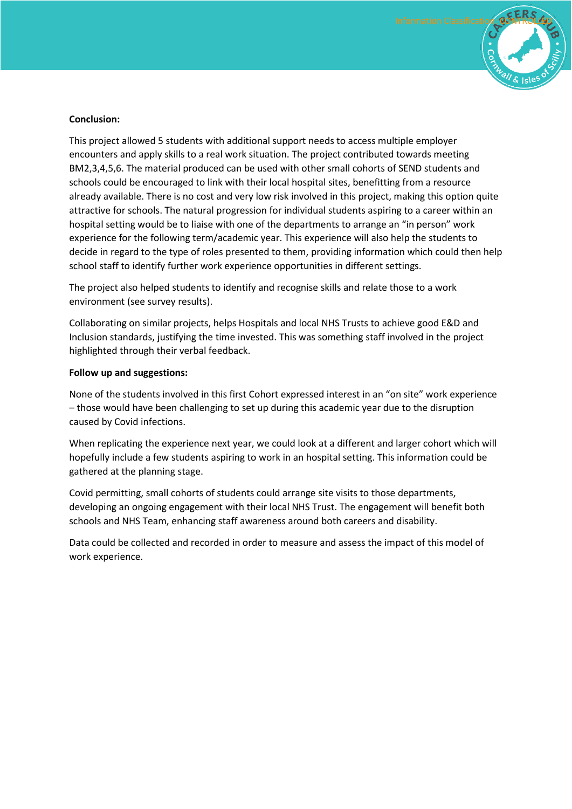

#### **Conclusion:**

This project allowed 5 students with additional support needs to access multiple employer encounters and apply skills to a real work situation. The project contributed towards meeting BM2,3,4,5,6. The material produced can be used with other small cohorts of SEND students and schools could be encouraged to link with their local hospital sites, benefitting from a resource already available. There is no cost and very low risk involved in this project, making this option quite attractive for schools. The natural progression for individual students aspiring to a career within an hospital setting would be to liaise with one of the departments to arrange an "in person" work experience for the following term/academic year. This experience will also help the students to decide in regard to the type of roles presented to them, providing information which could then help school staff to identify further work experience opportunities in different settings.

The project also helped students to identify and recognise skills and relate those to a work environment (see survey results).

Collaborating on similar projects, helps Hospitals and local NHS Trusts to achieve good E&D and Inclusion standards, justifying the time invested. This was something staff involved in the project highlighted through their verbal feedback.

#### **Follow up and suggestions:**

None of the students involved in this first Cohort expressed interest in an "on site" work experience – those would have been challenging to set up during this academic year due to the disruption caused by Covid infections.

When replicating the experience next year, we could look at a different and larger cohort which will hopefully include a few students aspiring to work in an hospital setting. This information could be gathered at the planning stage.

Covid permitting, small cohorts of students could arrange site visits to those departments, developing an ongoing engagement with their local NHS Trust. The engagement will benefit both schools and NHS Team, enhancing staff awareness around both careers and disability.

Data could be collected and recorded in order to measure and assess the impact of this model of work experience.